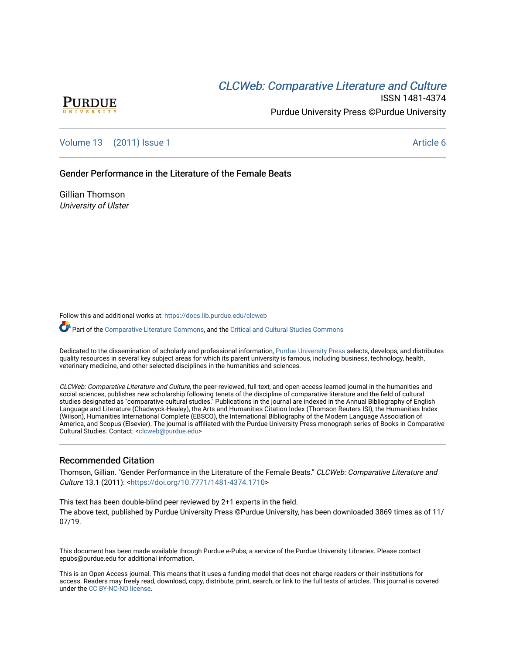# **CLCW[eb: Comparative Liter](https://docs.lib.purdue.edu/clcweb)ature and Culture**



ISSN 1481-4374 Purdue University Press ©Purdue University

[Volume 13](https://docs.lib.purdue.edu/clcweb/vol13) | [\(2011\) Issue 1](https://docs.lib.purdue.edu/clcweb/vol13/iss1) Article 6

Gender Performance in the Literature of the Female Beats

Gillian Thomson University of Ulster

Follow this and additional works at: [https://docs.lib.purdue.edu/clcweb](https://docs.lib.purdue.edu/clcweb?utm_source=docs.lib.purdue.edu%2Fclcweb%2Fvol13%2Fiss1%2F6&utm_medium=PDF&utm_campaign=PDFCoverPages)

Part of the [Comparative Literature Commons,](http://network.bepress.com/hgg/discipline/454?utm_source=docs.lib.purdue.edu%2Fclcweb%2Fvol13%2Fiss1%2F6&utm_medium=PDF&utm_campaign=PDFCoverPages) and the Critical and Cultural Studies Commons

Dedicated to the dissemination of scholarly and professional information, [Purdue University Press](http://www.thepress.purdue.edu/) selects, develops, and distributes quality resources in several key subject areas for which its parent university is famous, including business, technology, health, veterinary medicine, and other selected disciplines in the humanities and sciences.

CLCWeb: Comparative Literature and Culture, the peer-reviewed, full-text, and open-access learned journal in the humanities and social sciences, publishes new scholarship following tenets of the discipline of comparative literature and the field of cultural studies designated as "comparative cultural studies." Publications in the journal are indexed in the Annual Bibliography of English Language and Literature (Chadwyck-Healey), the Arts and Humanities Citation Index (Thomson Reuters ISI), the Humanities Index (Wilson), Humanities International Complete (EBSCO), the International Bibliography of the Modern Language Association of America, and Scopus (Elsevier). The journal is affiliated with the Purdue University Press monograph series of Books in Comparative Cultural Studies. Contact: [<clcweb@purdue.edu](mailto:clcweb@purdue.edu)>

# Recommended Citation

Thomson, Gillian. "Gender Performance in the Literature of the Female Beats." CLCWeb: Comparative Literature and Culture 13.1 (2011): <[https://doi.org/10.7771/1481-4374.1710>](https://doi.org/10.7771/1481-4374.1710)

This text has been double-blind peer reviewed by 2+1 experts in the field. The above text, published by Purdue University Press ©Purdue University, has been downloaded 3869 times as of 11/ 07/19.

This document has been made available through Purdue e-Pubs, a service of the Purdue University Libraries. Please contact epubs@purdue.edu for additional information.

This is an Open Access journal. This means that it uses a funding model that does not charge readers or their institutions for access. Readers may freely read, download, copy, distribute, print, search, or link to the full texts of articles. This journal is covered under the [CC BY-NC-ND license.](https://creativecommons.org/licenses/by-nc-nd/4.0/)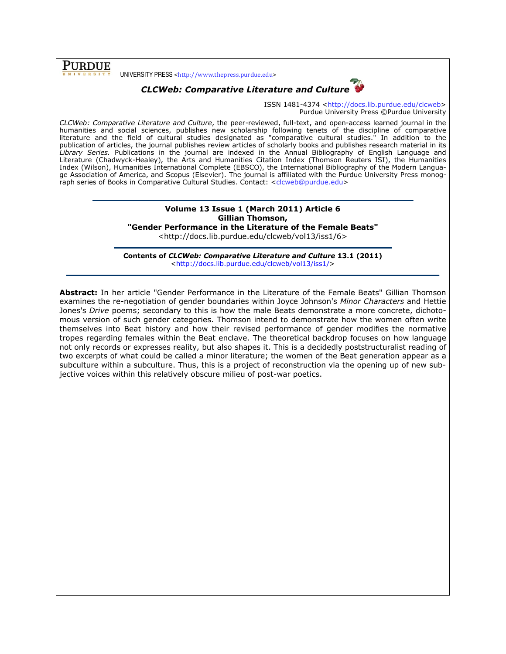**PURDUE** 

UNIVERSITY PRESS <http://www.thepress.purdue.edu>



ISSN 1481-4374 <http://docs.lib.purdue.edu/clcweb> Purdue University Press ©Purdue University

CLCWeb: Comparative Literature and Culture, the peer-reviewed, full-text, and open-access learned journal in the humanities and social sciences, publishes new scholarship following tenets of the discipline of comparative literature and the field of cultural studies designated as "comparative cultural studies." In addition to the publication of articles, the journal publishes review articles of scholarly books and publishes research material in its Library Series. Publications in the journal are indexed in the Annual Bibliography of English Language and Literature (Chadwyck-Healey), the Arts and Humanities Citation Index (Thomson Reuters ISI), the Humanities Index (Wilson), Humanities International Complete (EBSCO), the International Bibliography of the Modern Language Association of America, and Scopus (Elsevier). The journal is affiliated with the Purdue University Press monograph series of Books in Comparative Cultural Studies. Contact: <clcweb@purdue.edu>

#### Volume 13 Issue 1 (March 2011) Article 6 Gillian Thomson, "Gender Performance in the Literature of the Female Beats"

<http://docs.lib.purdue.edu/clcweb/vol13/iss1/6>

Contents of CLCWeb: Comparative Literature and Culture 13.1 (2011) <http://docs.lib.purdue.edu/clcweb/vol13/iss1/>

Abstract: In her article "Gender Performance in the Literature of the Female Beats" Gillian Thomson examines the re-negotiation of gender boundaries within Joyce Johnson's Minor Characters and Hettie Jones's Drive poems; secondary to this is how the male Beats demonstrate a more concrete, dichotomous version of such gender categories. Thomson intend to demonstrate how the women often write themselves into Beat history and how their revised performance of gender modifies the normative tropes regarding females within the Beat enclave. The theoretical backdrop focuses on how language not only records or expresses reality, but also shapes it. This is a decidedly poststructuralist reading of two excerpts of what could be called a minor literature; the women of the Beat generation appear as a subculture within a subculture. Thus, this is a project of reconstruction via the opening up of new subjective voices within this relatively obscure milieu of post-war poetics.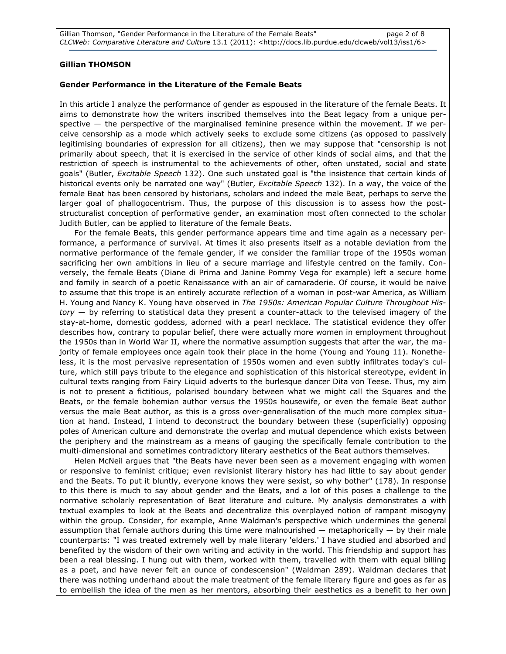## Gillian THOMSON

### Gender Performance in the Literature of the Female Beats

In this article I analyze the performance of gender as espoused in the literature of the female Beats. It aims to demonstrate how the writers inscribed themselves into the Beat legacy from a unique perspective  $-$  the perspective of the marginalised feminine presence within the movement. If we perceive censorship as a mode which actively seeks to exclude some citizens (as opposed to passively legitimising boundaries of expression for all citizens), then we may suppose that "censorship is not primarily about speech, that it is exercised in the service of other kinds of social aims, and that the restriction of speech is instrumental to the achievements of other, often unstated, social and state goals" (Butler, *Excitable Speech* 132). One such unstated goal is "the insistence that certain kinds of historical events only be narrated one way" (Butler, Excitable Speech 132). In a way, the voice of the female Beat has been censored by historians, scholars and indeed the male Beat, perhaps to serve the larger goal of phallogocentrism. Thus, the purpose of this discussion is to assess how the poststructuralist conception of performative gender, an examination most often connected to the scholar Judith Butler, can be applied to literature of the female Beats.

For the female Beats, this gender performance appears time and time again as a necessary performance, a performance of survival. At times it also presents itself as a notable deviation from the normative performance of the female gender, if we consider the familiar trope of the 1950s woman sacrificing her own ambitions in lieu of a secure marriage and lifestyle centred on the family. Conversely, the female Beats (Diane di Prima and Janine Pommy Vega for example) left a secure home and family in search of a poetic Renaissance with an air of camaraderie. Of course, it would be naive to assume that this trope is an entirely accurate reflection of a woman in post-war America, as William H. Young and Nancy K. Young have observed in The 1950s: American Popular Culture Throughout His $tory - by referring to statistical data they present a counter-attack to the television imagery of the$ stay-at-home, domestic goddess, adorned with a pearl necklace. The statistical evidence they offer describes how, contrary to popular belief, there were actually more women in employment throughout the 1950s than in World War II, where the normative assumption suggests that after the war, the majority of female employees once again took their place in the home (Young and Young 11). Nonetheless, it is the most pervasive representation of 1950s women and even subtly infiltrates today's culture, which still pays tribute to the elegance and sophistication of this historical stereotype, evident in cultural texts ranging from Fairy Liquid adverts to the burlesque dancer Dita von Teese. Thus, my aim is not to present a fictitious, polarised boundary between what we might call the Squares and the Beats, or the female bohemian author versus the 1950s housewife, or even the female Beat author versus the male Beat author, as this is a gross over-generalisation of the much more complex situation at hand. Instead, I intend to deconstruct the boundary between these (superficially) opposing poles of American culture and demonstrate the overlap and mutual dependence which exists between the periphery and the mainstream as a means of gauging the specifically female contribution to the multi-dimensional and sometimes contradictory literary aesthetics of the Beat authors themselves.

Helen McNeil argues that "the Beats have never been seen as a movement engaging with women or responsive to feminist critique; even revisionist literary history has had little to say about gender and the Beats. To put it bluntly, everyone knows they were sexist, so why bother" (178). In response to this there is much to say about gender and the Beats, and a lot of this poses a challenge to the normative scholarly representation of Beat literature and culture. My analysis demonstrates a with textual examples to look at the Beats and decentralize this overplayed notion of rampant misogyny within the group. Consider, for example, Anne Waldman's perspective which undermines the general assumption that female authors during this time were malnourished — metaphorically — by their male counterparts: "I was treated extremely well by male literary 'elders.' I have studied and absorbed and benefited by the wisdom of their own writing and activity in the world. This friendship and support has been a real blessing. I hung out with them, worked with them, travelled with them with equal billing as a poet, and have never felt an ounce of condescension" (Waldman 289). Waldman declares that there was nothing underhand about the male treatment of the female literary figure and goes as far as to embellish the idea of the men as her mentors, absorbing their aesthetics as a benefit to her own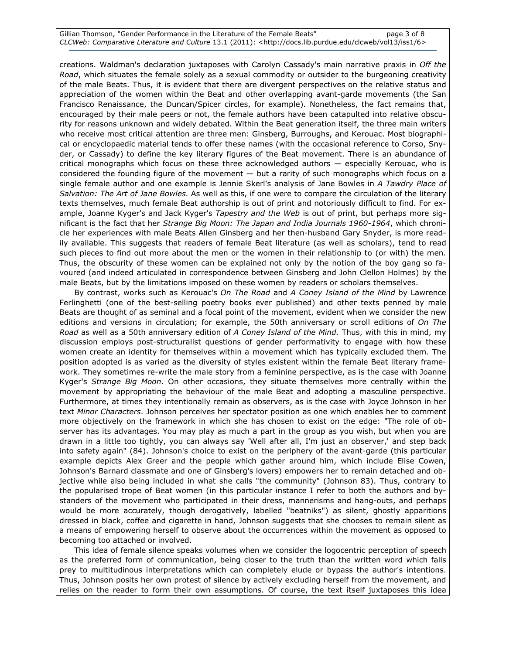creations. Waldman's declaration juxtaposes with Carolyn Cassady's main narrative praxis in Off the Road, which situates the female solely as a sexual commodity or outsider to the burgeoning creativity of the male Beats. Thus, it is evident that there are divergent perspectives on the relative status and appreciation of the women within the Beat and other overlapping avant-garde movements (the San Francisco Renaissance, the Duncan/Spicer circles, for example). Nonetheless, the fact remains that, encouraged by their male peers or not, the female authors have been catapulted into relative obscurity for reasons unknown and widely debated. Within the Beat generation itself, the three main writers who receive most critical attention are three men: Ginsberg, Burroughs, and Kerouac. Most biographical or encyclopaedic material tends to offer these names (with the occasional reference to Corso, Snyder, or Cassady) to define the key literary figures of the Beat movement. There is an abundance of critical monographs which focus on these three acknowledged authors — especially Kerouac, who is considered the founding figure of the movement — but a rarity of such monographs which focus on a single female author and one example is Jennie Skerl's analysis of Jane Bowles in A Tawdry Place of Salvation: The Art of Jane Bowles. As well as this, if one were to compare the circulation of the literary texts themselves, much female Beat authorship is out of print and notoriously difficult to find. For example, Joanne Kyger's and Jack Kyger's Tapestry and the Web is out of print, but perhaps more significant is the fact that her Strange Big Moon: The Japan and India Journals 1960-1964, which chronicle her experiences with male Beats Allen Ginsberg and her then-husband Gary Snyder, is more readily available. This suggests that readers of female Beat literature (as well as scholars), tend to read such pieces to find out more about the men or the women in their relationship to (or with) the men. Thus, the obscurity of these women can be explained not only by the notion of the boy gang so favoured (and indeed articulated in correspondence between Ginsberg and John Clellon Holmes) by the male Beats, but by the limitations imposed on these women by readers or scholars themselves.

By contrast, works such as Kerouac's On The Road and A Coney Island of the Mind by Lawrence Ferlinghetti (one of the best-selling poetry books ever published) and other texts penned by male Beats are thought of as seminal and a focal point of the movement, evident when we consider the new editions and versions in circulation; for example, the 50th anniversary or scroll editions of On The Road as well as a 50th anniversary edition of A Coney Island of the Mind. Thus, with this in mind, my discussion employs post-structuralist questions of gender performativity to engage with how these women create an identity for themselves within a movement which has typically excluded them. The position adopted is as varied as the diversity of styles existent within the female Beat literary framework. They sometimes re-write the male story from a feminine perspective, as is the case with Joanne Kyger's Strange Big Moon. On other occasions, they situate themselves more centrally within the movement by appropriating the behaviour of the male Beat and adopting a masculine perspective. Furthermore, at times they intentionally remain as observers, as is the case with Joyce Johnson in her text Minor Characters. Johnson perceives her spectator position as one which enables her to comment more objectively on the framework in which she has chosen to exist on the edge: "The role of observer has its advantages. You may play as much a part in the group as you wish, but when you are drawn in a little too tightly, you can always say 'Well after all, I'm just an observer,' and step back into safety again" (84). Johnson's choice to exist on the periphery of the avant-garde (this particular example depicts Alex Greer and the people which gather around him, which include Elise Cowen, Johnson's Barnard classmate and one of Ginsberg's lovers) empowers her to remain detached and objective while also being included in what she calls "the community" (Johnson 83). Thus, contrary to the popularised trope of Beat women (in this particular instance I refer to both the authors and bystanders of the movement who participated in their dress, mannerisms and hang-outs, and perhaps would be more accurately, though derogatively, labelled "beatniks") as silent, ghostly apparitions dressed in black, coffee and cigarette in hand, Johnson suggests that she chooses to remain silent as a means of empowering herself to observe about the occurrences within the movement as opposed to becoming too attached or involved.

This idea of female silence speaks volumes when we consider the logocentric perception of speech as the preferred form of communication, being closer to the truth than the written word which falls prey to multitudinous interpretations which can completely elude or bypass the author's intentions. Thus, Johnson posits her own protest of silence by actively excluding herself from the movement, and relies on the reader to form their own assumptions. Of course, the text itself juxtaposes this idea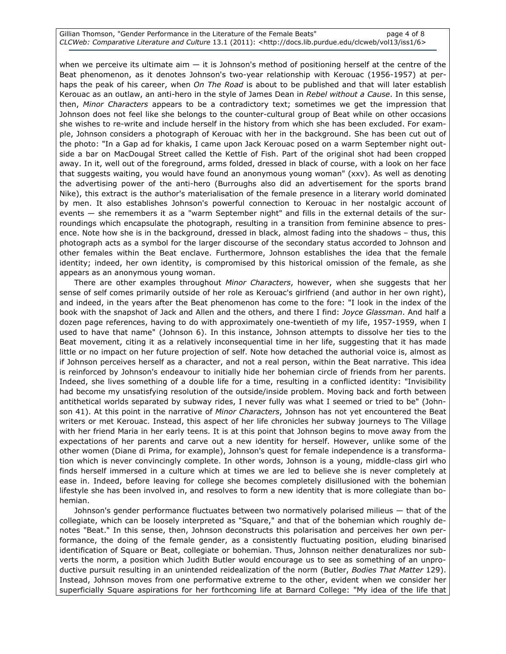Gillian Thomson, "Gender Performance in the Literature of the Female Beats" page 4 of 8 CLCWeb: Comparative Literature and Culture 13.1 (2011): <http://docs.lib.purdue.edu/clcweb/vol13/iss1/6>

when we perceive its ultimate aim  $-$  it is Johnson's method of positioning herself at the centre of the Beat phenomenon, as it denotes Johnson's two-year relationship with Kerouac (1956-1957) at perhaps the peak of his career, when On The Road is about to be published and that will later establish Kerouac as an outlaw, an anti-hero in the style of James Dean in Rebel without a Cause. In this sense, then, Minor Characters appears to be a contradictory text; sometimes we get the impression that Johnson does not feel like she belongs to the counter-cultural group of Beat while on other occasions she wishes to re-write and include herself in the history from which she has been excluded. For example, Johnson considers a photograph of Kerouac with her in the background. She has been cut out of the photo: "In a Gap ad for khakis, I came upon Jack Kerouac posed on a warm September night outside a bar on MacDougal Street called the Kettle of Fish. Part of the original shot had been cropped away. In it, well out of the foreground, arms folded, dressed in black of course, with a look on her face that suggests waiting, you would have found an anonymous young woman" (xxv). As well as denoting the advertising power of the anti-hero (Burroughs also did an advertisement for the sports brand Nike), this extract is the author's materialisation of the female presence in a literary world dominated by men. It also establishes Johnson's powerful connection to Kerouac in her nostalgic account of events — she remembers it as a "warm September night" and fills in the external details of the surroundings which encapsulate the photograph, resulting in a transition from feminine absence to presence. Note how she is in the background, dressed in black, almost fading into the shadows – thus, this photograph acts as a symbol for the larger discourse of the secondary status accorded to Johnson and other females within the Beat enclave. Furthermore, Johnson establishes the idea that the female identity; indeed, her own identity, is compromised by this historical omission of the female, as she appears as an anonymous young woman.

There are other examples throughout Minor Characters, however, when she suggests that her sense of self comes primarily outside of her role as Kerouac's girlfriend (and author in her own right), and indeed, in the years after the Beat phenomenon has come to the fore: "I look in the index of the book with the snapshot of Jack and Allen and the others, and there I find: Joyce Glassman. And half a dozen page references, having to do with approximately one-twentieth of my life, 1957-1959, when I used to have that name" (Johnson 6). In this instance, Johnson attempts to dissolve her ties to the Beat movement, citing it as a relatively inconsequential time in her life, suggesting that it has made little or no impact on her future projection of self. Note how detached the authorial voice is, almost as if Johnson perceives herself as a character, and not a real person, within the Beat narrative. This idea is reinforced by Johnson's endeavour to initially hide her bohemian circle of friends from her parents. Indeed, she lives something of a double life for a time, resulting in a conflicted identity: "Invisibility had become my unsatisfying resolution of the outside/inside problem. Moving back and forth between antithetical worlds separated by subway rides, I never fully was what I seemed or tried to be" (Johnson 41). At this point in the narrative of Minor Characters, Johnson has not yet encountered the Beat writers or met Kerouac. Instead, this aspect of her life chronicles her subway journeys to The Village with her friend Maria in her early teens. It is at this point that Johnson begins to move away from the expectations of her parents and carve out a new identity for herself. However, unlike some of the other women (Diane di Prima, for example), Johnson's quest for female independence is a transformation which is never convincingly complete. In other words, Johnson is a young, middle-class girl who finds herself immersed in a culture which at times we are led to believe she is never completely at ease in. Indeed, before leaving for college she becomes completely disillusioned with the bohemian lifestyle she has been involved in, and resolves to form a new identity that is more collegiate than bohemian.

Johnson's gender performance fluctuates between two normatively polarised milieus — that of the collegiate, which can be loosely interpreted as "Square," and that of the bohemian which roughly denotes "Beat." In this sense, then, Johnson deconstructs this polarisation and perceives her own performance, the doing of the female gender, as a consistently fluctuating position, eluding binarised identification of Square or Beat, collegiate or bohemian. Thus, Johnson neither denaturalizes nor subverts the norm, a position which Judith Butler would encourage us to see as something of an unproductive pursuit resulting in an unintended reidealization of the norm (Butler, Bodies That Matter 129). Instead, Johnson moves from one performative extreme to the other, evident when we consider her superficially Square aspirations for her forthcoming life at Barnard College: "My idea of the life that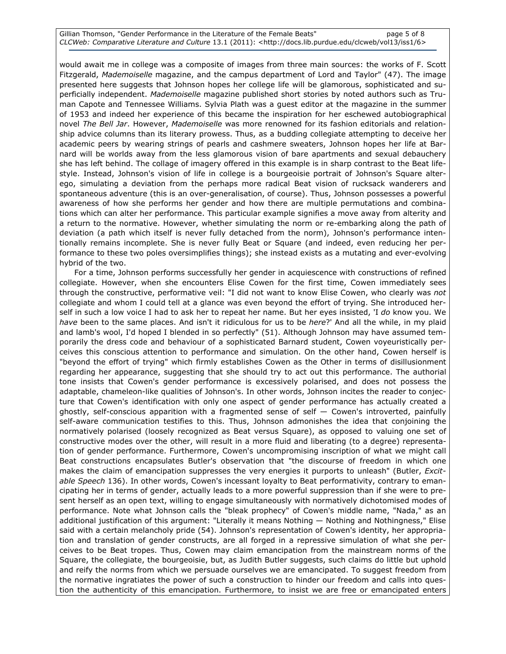Gillian Thomson, "Gender Performance in the Literature of the Female Beats" page 5 of 8 CLCWeb: Comparative Literature and Culture 13.1 (2011): <http://docs.lib.purdue.edu/clcweb/vol13/iss1/6>

would await me in college was a composite of images from three main sources: the works of F. Scott Fitzgerald, Mademoiselle magazine, and the campus department of Lord and Taylor" (47). The image presented here suggests that Johnson hopes her college life will be glamorous, sophisticated and superficially independent. Mademoiselle magazine published short stories by noted authors such as Truman Capote and Tennessee Williams. Sylvia Plath was a guest editor at the magazine in the summer of 1953 and indeed her experience of this became the inspiration for her eschewed autobiographical novel The Bell Jar. However, Mademoiselle was more renowned for its fashion editorials and relationship advice columns than its literary prowess. Thus, as a budding collegiate attempting to deceive her academic peers by wearing strings of pearls and cashmere sweaters, Johnson hopes her life at Barnard will be worlds away from the less glamorous vision of bare apartments and sexual debauchery she has left behind. The collage of imagery offered in this example is in sharp contrast to the Beat lifestyle. Instead, Johnson's vision of life in college is a bourgeoisie portrait of Johnson's Square alterego, simulating a deviation from the perhaps more radical Beat vision of rucksack wanderers and spontaneous adventure (this is an over-generalisation, of course). Thus, Johnson possesses a powerful awareness of how she performs her gender and how there are multiple permutations and combinations which can alter her performance. This particular example signifies a move away from alterity and a return to the normative. However, whether simulating the norm or re-embarking along the path of deviation (a path which itself is never fully detached from the norm), Johnson's performance intentionally remains incomplete. She is never fully Beat or Square (and indeed, even reducing her performance to these two poles oversimplifies things); she instead exists as a mutating and ever-evolving hybrid of the two.

For a time, Johnson performs successfully her gender in acquiescence with constructions of refined collegiate. However, when she encounters Elise Cowen for the first time, Cowen immediately sees through the constructive, performative veil: "I did not want to know Elise Cowen, who clearly was not collegiate and whom I could tell at a glance was even beyond the effort of trying. She introduced herself in such a low voice I had to ask her to repeat her name. But her eyes insisted, 'I do know you. We have been to the same places. And isn't it ridiculous for us to be here?' And all the while, in my plaid and lamb's wool, I'd hoped I blended in so perfectly" (51). Although Johnson may have assumed temporarily the dress code and behaviour of a sophisticated Barnard student, Cowen voyeuristically perceives this conscious attention to performance and simulation. On the other hand, Cowen herself is "beyond the effort of trying" which firmly establishes Cowen as the Other in terms of disillusionment regarding her appearance, suggesting that she should try to act out this performance. The authorial tone insists that Cowen's gender performance is excessively polarised, and does not possess the adaptable, chameleon-like qualities of Johnson's. In other words, Johnson incites the reader to conjecture that Cowen's identification with only one aspect of gender performance has actually created a ghostly, self-conscious apparition with a fragmented sense of self — Cowen's introverted, painfully self-aware communication testifies to this. Thus, Johnson admonishes the idea that conjoining the normatively polarised (loosely recognized as Beat versus Square), as opposed to valuing one set of constructive modes over the other, will result in a more fluid and liberating (to a degree) representation of gender performance. Furthermore, Cowen's uncompromising inscription of what we might call Beat constructions encapsulates Butler's observation that "the discourse of freedom in which one makes the claim of emancipation suppresses the very energies it purports to unleash" (Butler, Excitable Speech 136). In other words, Cowen's incessant loyalty to Beat performativity, contrary to emancipating her in terms of gender, actually leads to a more powerful suppression than if she were to present herself as an open text, willing to engage simultaneously with normatively dichotomised modes of performance. Note what Johnson calls the "bleak prophecy" of Cowen's middle name, "Nada," as an additional justification of this argument: "Literally it means Nothing — Nothing and Nothingness," Elise said with a certain melancholy pride (54). Johnson's representation of Cowen's identity, her appropriation and translation of gender constructs, are all forged in a repressive simulation of what she perceives to be Beat tropes. Thus, Cowen may claim emancipation from the mainstream norms of the Square, the collegiate, the bourgeoisie, but, as Judith Butler suggests, such claims do little but uphold and reify the norms from which we persuade ourselves we are emancipated. To suggest freedom from the normative ingratiates the power of such a construction to hinder our freedom and calls into question the authenticity of this emancipation. Furthermore, to insist we are free or emancipated enters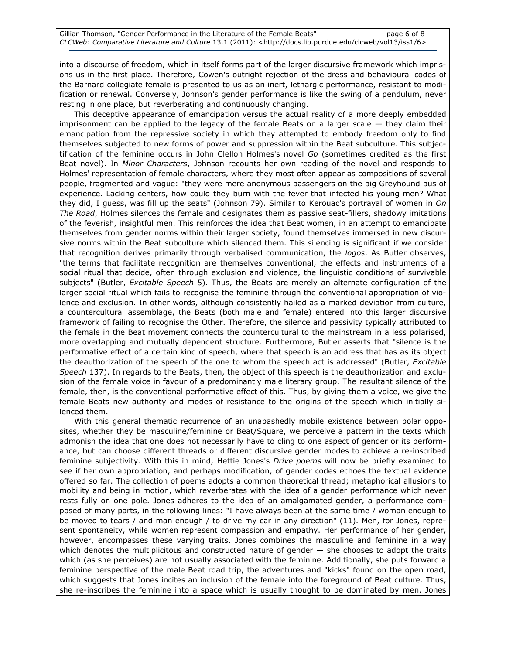into a discourse of freedom, which in itself forms part of the larger discursive framework which imprisons us in the first place. Therefore, Cowen's outright rejection of the dress and behavioural codes of the Barnard collegiate female is presented to us as an inert, lethargic performance, resistant to modification or renewal. Conversely, Johnson's gender performance is like the swing of a pendulum, never resting in one place, but reverberating and continuously changing.

This deceptive appearance of emancipation versus the actual reality of a more deeply embedded imprisonment can be applied to the legacy of the female Beats on a larger scale — they claim their emancipation from the repressive society in which they attempted to embody freedom only to find themselves subjected to new forms of power and suppression within the Beat subculture. This subjectification of the feminine occurs in John Clellon Holmes's novel Go (sometimes credited as the first Beat novel). In Minor Characters, Johnson recounts her own reading of the novel and responds to Holmes' representation of female characters, where they most often appear as compositions of several people, fragmented and vague: "they were mere anonymous passengers on the big Greyhound bus of experience. Lacking centers, how could they burn with the fever that infected his young men? What they did, I guess, was fill up the seats" (Johnson 79). Similar to Kerouac's portrayal of women in On The Road, Holmes silences the female and designates them as passive seat-fillers, shadowy imitations of the feverish, insightful men. This reinforces the idea that Beat women, in an attempt to emancipate themselves from gender norms within their larger society, found themselves immersed in new discursive norms within the Beat subculture which silenced them. This silencing is significant if we consider that recognition derives primarily through verbalised communication, the logos. As Butler observes, "the terms that facilitate recognition are themselves conventional, the effects and instruments of a social ritual that decide, often through exclusion and violence, the linguistic conditions of survivable subjects" (Butler, *Excitable Speech* 5). Thus, the Beats are merely an alternate configuration of the larger social ritual which fails to recognise the feminine through the conventional appropriation of violence and exclusion. In other words, although consistently hailed as a marked deviation from culture, a countercultural assemblage, the Beats (both male and female) entered into this larger discursive framework of failing to recognise the Other. Therefore, the silence and passivity typically attributed to the female in the Beat movement connects the countercultural to the mainstream in a less polarised, more overlapping and mutually dependent structure. Furthermore, Butler asserts that "silence is the performative effect of a certain kind of speech, where that speech is an address that has as its object the deauthorization of the speech of the one to whom the speech act is addressed" (Butler, Excitable Speech 137). In regards to the Beats, then, the object of this speech is the deauthorization and exclusion of the female voice in favour of a predominantly male literary group. The resultant silence of the female, then, is the conventional performative effect of this. Thus, by giving them a voice, we give the female Beats new authority and modes of resistance to the origins of the speech which initially silenced them.

With this general thematic recurrence of an unabashedly mobile existence between polar opposites, whether they be masculine/feminine or Beat/Square, we perceive a pattern in the texts which admonish the idea that one does not necessarily have to cling to one aspect of gender or its performance, but can choose different threads or different discursive gender modes to achieve a re-inscribed feminine subjectivity. With this in mind, Hettie Jones's *Drive poems* will now be briefly examined to see if her own appropriation, and perhaps modification, of gender codes echoes the textual evidence offered so far. The collection of poems adopts a common theoretical thread; metaphorical allusions to mobility and being in motion, which reverberates with the idea of a gender performance which never rests fully on one pole. Jones adheres to the idea of an amalgamated gender, a performance composed of many parts, in the following lines: "I have always been at the same time / woman enough to be moved to tears / and man enough / to drive my car in any direction" (11). Men, for Jones, represent spontaneity, while women represent compassion and empathy. Her performance of her gender, however, encompasses these varying traits. Jones combines the masculine and feminine in a way which denotes the multiplicitous and constructed nature of gender - she chooses to adopt the traits which (as she perceives) are not usually associated with the feminine. Additionally, she puts forward a feminine perspective of the male Beat road trip, the adventures and "kicks" found on the open road, which suggests that Jones incites an inclusion of the female into the foreground of Beat culture. Thus, she re-inscribes the feminine into a space which is usually thought to be dominated by men. Jones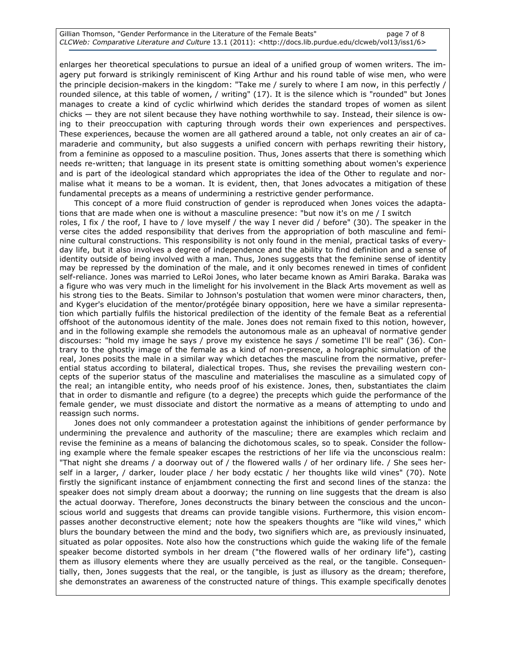enlarges her theoretical speculations to pursue an ideal of a unified group of women writers. The imagery put forward is strikingly reminiscent of King Arthur and his round table of wise men, who were the principle decision-makers in the kingdom: "Take me / surely to where I am now, in this perfectly / rounded silence, at this table of women, / writing" (17). It is the silence which is "rounded" but Jones manages to create a kind of cyclic whirlwind which derides the standard tropes of women as silent chicks — they are not silent because they have nothing worthwhile to say. Instead, their silence is owing to their preoccupation with capturing through words their own experiences and perspectives. These experiences, because the women are all gathered around a table, not only creates an air of camaraderie and community, but also suggests a unified concern with perhaps rewriting their history, from a feminine as opposed to a masculine position. Thus, Jones asserts that there is something which needs re-written; that language in its present state is omitting something about women's experience and is part of the ideological standard which appropriates the idea of the Other to regulate and normalise what it means to be a woman. It is evident, then, that Jones advocates a mitigation of these fundamental precepts as a means of undermining a restrictive gender performance.

This concept of a more fluid construction of gender is reproduced when Jones voices the adaptations that are made when one is without a masculine presence: "but now it's on me / I switch roles, I fix / the roof, I have to / love myself / the way I never did / before" (30). The speaker in the verse cites the added responsibility that derives from the appropriation of both masculine and feminine cultural constructions. This responsibility is not only found in the menial, practical tasks of everyday life, but it also involves a degree of independence and the ability to find definition and a sense of identity outside of being involved with a man. Thus, Jones suggests that the feminine sense of identity may be repressed by the domination of the male, and it only becomes renewed in times of confident self-reliance. Jones was married to LeRoi Jones, who later became known as Amiri Baraka. Baraka was a figure who was very much in the limelight for his involvement in the Black Arts movement as well as his strong ties to the Beats. Similar to Johnson's postulation that women were minor characters, then, and Kyger's elucidation of the mentor/protégée binary opposition, here we have a similar representation which partially fulfils the historical predilection of the identity of the female Beat as a referential offshoot of the autonomous identity of the male. Jones does not remain fixed to this notion, however, and in the following example she remodels the autonomous male as an upheaval of normative gender discourses: "hold my image he says / prove my existence he says / sometime I'll be real" (36). Contrary to the ghostly image of the female as a kind of non-presence, a holographic simulation of the real, Jones posits the male in a similar way which detaches the masculine from the normative, preferential status according to bilateral, dialectical tropes. Thus, she revises the prevailing western concepts of the superior status of the masculine and materialises the masculine as a simulated copy of the real; an intangible entity, who needs proof of his existence. Jones, then, substantiates the claim that in order to dismantle and refigure (to a degree) the precepts which guide the performance of the female gender, we must dissociate and distort the normative as a means of attempting to undo and reassign such norms.

Jones does not only commandeer a protestation against the inhibitions of gender performance by undermining the prevalence and authority of the masculine; there are examples which reclaim and revise the feminine as a means of balancing the dichotomous scales, so to speak. Consider the following example where the female speaker escapes the restrictions of her life via the unconscious realm: "That night she dreams / a doorway out of / the flowered walls / of her ordinary life. / She sees herself in a larger, / darker, louder place / her body ecstatic / her thoughts like wild vines" (70). Note firstly the significant instance of enjambment connecting the first and second lines of the stanza: the speaker does not simply dream about a doorway; the running on line suggests that the dream is also the actual doorway. Therefore, Jones deconstructs the binary between the conscious and the unconscious world and suggests that dreams can provide tangible visions. Furthermore, this vision encompasses another deconstructive element; note how the speakers thoughts are "like wild vines," which blurs the boundary between the mind and the body, two signifiers which are, as previously insinuated, situated as polar opposites. Note also how the constructions which guide the waking life of the female speaker become distorted symbols in her dream ("the flowered walls of her ordinary life"), casting them as illusory elements where they are usually perceived as the real, or the tangible. Consequentially, then, Jones suggests that the real, or the tangible, is just as illusory as the dream; therefore, she demonstrates an awareness of the constructed nature of things. This example specifically denotes